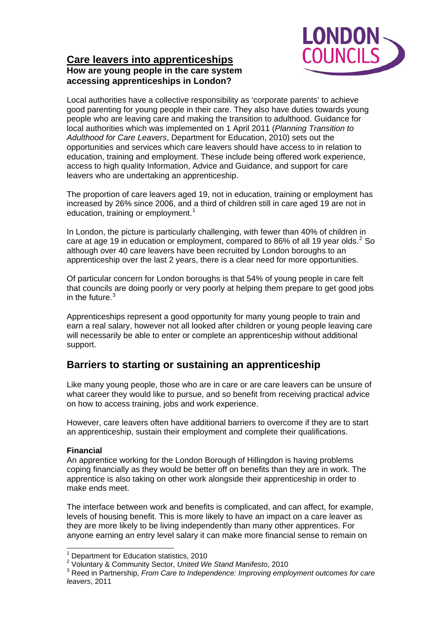

## **Care leavers into apprenticeships How are young people in the care system accessing apprenticeships in London?**

Local authorities have a collective responsibility as 'corporate parents' to achieve good parenting for young people in their care. They also have duties towards young people who are leaving care and making the transition to adulthood. Guidance for local authorities which was implemented on 1 April 2011 (*Planning Transition to Adulthood for Care Leavers*, Department for Education, 2010) sets out the opportunities and services which care leavers should have access to in relation to education, training and employment. These include being offered work experience, access to high quality Information, Advice and Guidance, and support for care leavers who are undertaking an apprenticeship.

The proportion of care leavers aged 19, not in education, training or employment has increased by 26% since 2006, and a third of children still in care aged 19 are not in education, training or employment.<sup>[1](#page-0-0)</sup>

In London, the picture is particularly challenging, with fewer than 40% of children in care at age 19 in education or employment, compared to 86% of all 19 year olds.  $2$  So although over 40 care leavers have been recruited by London boroughs to an apprenticeship over the last 2 years, there is a clear need for more opportunities.

Of particular concern for London boroughs is that 54% of young people in care felt that councils are doing poorly or very poorly at helping them prepare to get good jobs in the future. $3$ 

Apprenticeships represent a good opportunity for many young people to train and earn a real salary, however not all looked after children or young people leaving care will necessarily be able to enter or complete an apprenticeship without additional support.

# **Barriers to starting or sustaining an apprenticeship**

Like many young people, those who are in care or are care leavers can be unsure of what career they would like to pursue, and so benefit from receiving practical advice on how to access training, jobs and work experience.

However, care leavers often have additional barriers to overcome if they are to start an apprenticeship, sustain their employment and complete their qualifications.

## **Financial**

An apprentice working for the London Borough of Hillingdon is having problems coping financially as they would be better off on benefits than they are in work. The apprentice is also taking on other work alongside their apprenticeship in order to make ends meet.

The interface between work and benefits is complicated, and can affect, for example, levels of housing benefit. This is more likely to have an impact on a care leaver as they are more likely to be living independently than many other apprentices. For anyone earning an entry level salary it can make more financial sense to remain on

 1 Department for Education statistics, 2010

<span id="page-0-1"></span><span id="page-0-0"></span><sup>2</sup> Voluntary & Community Sector, *United We Stand Manifesto*, 2010

<span id="page-0-2"></span><sup>3</sup> Reed in Partnership, *From Care to Independence: Improving employment outcomes for care leavers*, 2011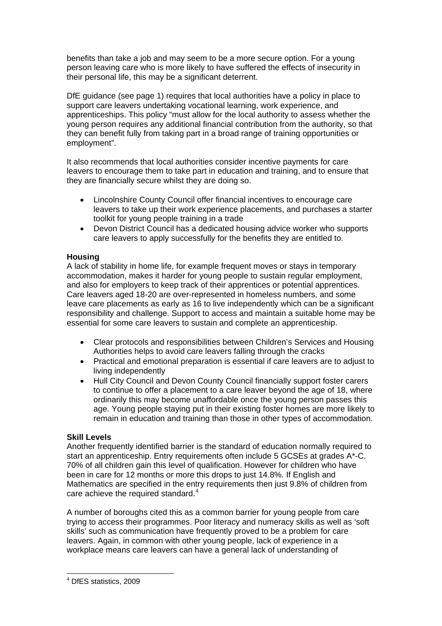benefits than take a job and may seem to be a more secure option. For a young person leaving care who is more likely to have suffered the effects of insecurity in their personal life, this may be a significant deterrent.

DfE guidance (see page 1) requires that local authorities have a policy in place to support care leavers undertaking vocational learning, work experience, and apprenticeships. This policy "must allow for the local authority to assess whether the young person requires any additional financial contribution from the authority, so that they can benefit fully from taking part in a broad range of training opportunities or employment".

It also recommends that local authorities consider incentive payments for care leavers to encourage them to take part in education and training, and to ensure that they are financially secure whilst they are doing so.

- Lincolnshire County Council offer financial incentives to encourage care leavers to take up their work experience placements, and purchases a starter toolkit for young people training in a trade
- Devon District Council has a dedicated housing advice worker who supports care leavers to apply successfully for the benefits they are entitled to.

## **Housing**

A lack of stability in home life, for example frequent moves or stays in temporary accommodation, makes it harder for young people to sustain regular employment, and also for employers to keep track of their apprentices or potential apprentices. Care leavers aged 18-20 are over-represented in homeless numbers, and some leave care placements as early as 16 to live independently which can be a significant responsibility and challenge. Support to access and maintain a suitable home may be essential for some care leavers to sustain and complete an apprenticeship.

- Clear protocols and responsibilities between Children's Services and Housing Authorities helps to avoid care leavers falling through the cracks
- Practical and emotional preparation is essential if care leavers are to adjust to living independently
- Hull City Council and Devon County Council financially support foster carers to continue to offer a placement to a care leaver beyond the age of 18, where ordinarily this may become unaffordable once the young person passes this age. Young people staying put in their existing foster homes are more likely to remain in education and training than those in other types of accommodation.

## **Skill Levels**

Another frequently identified barrier is the standard of education normally required to start an apprenticeship. Entry requirements often include 5 GCSEs at grades A\*-C. 70% of all children gain this level of qualification. However for children who have been in care for 12 months or more this drops to just 14.8%. If English and Mathematics are specified in the entry requirements then just 9.8% of children from care achieve the required standard.<sup>[4](#page-1-0)</sup>

A number of boroughs cited this as a common barrier for young people from care trying to access their programmes. Poor literacy and numeracy skills as well as 'soft skills' such as communication have frequently proved to be a problem for care leavers. Again, in common with other young people, lack of experience in a workplace means care leavers can have a general lack of understanding of

<span id="page-1-0"></span> 4 DfES statistics, 2009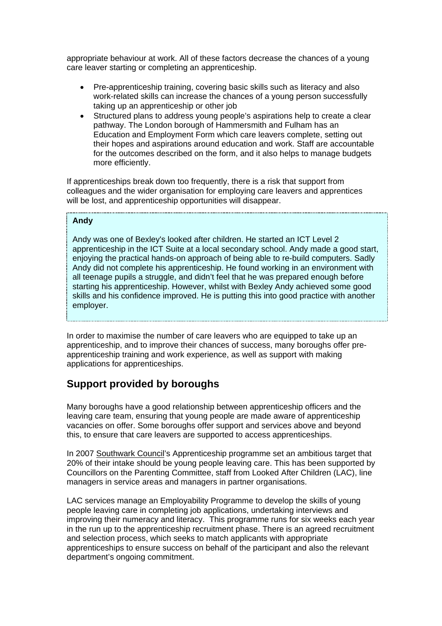appropriate behaviour at work. All of these factors decrease the chances of a young care leaver starting or completing an apprenticeship.

- Pre-apprenticeship training, covering basic skills such as literacy and also work-related skills can increase the chances of a young person successfully taking up an apprenticeship or other job
- Structured plans to address young people's aspirations help to create a clear pathway. The London borough of Hammersmith and Fulham has an Education and Employment Form which care leavers complete, setting out their hopes and aspirations around education and work. Staff are accountable for the outcomes described on the form, and it also helps to manage budgets more efficiently.

If apprenticeships break down too frequently, there is a risk that support from colleagues and the wider organisation for employing care leavers and apprentices will be lost, and apprenticeship opportunities will disappear.

#### **Andy**

Andy was one of Bexley's looked after children. He started an ICT Level 2 apprenticeship in the ICT Suite at a local secondary school. Andy made a good start, enjoying the practical hands-on approach of being able to re-build computers. Sadly Andy did not complete his apprenticeship. He found working in an environment with all teenage pupils a struggle, and didn't feel that he was prepared enough before starting his apprenticeship. However, whilst with Bexley Andy achieved some good skills and his confidence improved. He is putting this into good practice with another employer.

In order to maximise the number of care leavers who are equipped to take up an apprenticeship, and to improve their chances of success, many boroughs offer preapprenticeship training and work experience, as well as support with making applications for apprenticeships.

## **Support provided by boroughs**

Many boroughs have a good relationship between apprenticeship officers and the leaving care team, ensuring that young people are made aware of apprenticeship vacancies on offer. Some boroughs offer support and services above and beyond this, to ensure that care leavers are supported to access apprenticeships.

In 2007 Southwark Council's Apprenticeship programme set an ambitious target that 20% of their intake should be young people leaving care. This has been supported by Councillors on the Parenting Committee, staff from Looked After Children (LAC), line managers in service areas and managers in partner organisations.

LAC services manage an Employability Programme to develop the skills of young people leaving care in completing job applications, undertaking interviews and improving their numeracy and literacy. This programme runs for six weeks each year in the run up to the apprenticeship recruitment phase. There is an agreed recruitment and selection process, which seeks to match applicants with appropriate apprenticeships to ensure success on behalf of the participant and also the relevant department's ongoing commitment.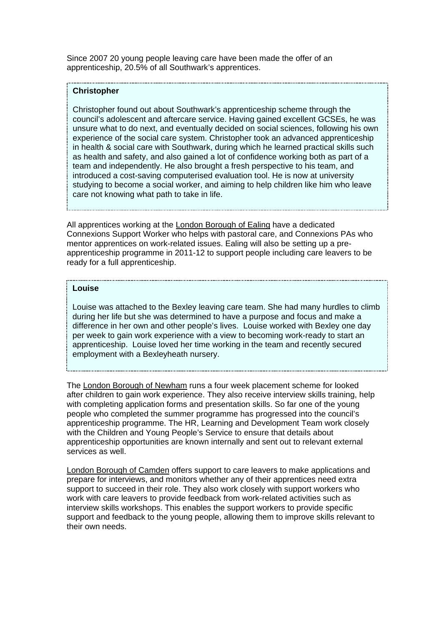Since 2007 20 young people leaving care have been made the offer of an apprenticeship, 20.5% of all Southwark's apprentices.

### **Christopher**

Christopher found out about Southwark's apprenticeship scheme through the council's adolescent and aftercare service. Having gained excellent GCSEs, he was unsure what to do next, and eventually decided on social sciences, following his own experience of the social care system. Christopher took an advanced apprenticeship in health & social care with Southwark, during which he learned practical skills such as health and safety, and also gained a lot of confidence working both as part of a team and independently. He also brought a fresh perspective to his team, and introduced a cost-saving computerised evaluation tool. He is now at university studying to become a social worker, and aiming to help children like him who leave care not knowing what path to take in life.

All apprentices working at the London Borough of Ealing have a dedicated Connexions Support Worker who helps with pastoral care, and Connexions PAs who mentor apprentices on work-related issues. Ealing will also be setting up a preapprenticeship programme in 2011-12 to support people including care leavers to be ready for a full apprenticeship.

#### **Louise**

Louise was attached to the Bexley leaving care team. She had many hurdles to climb during her life but she was determined to have a purpose and focus and make a difference in her own and other people's lives. Louise worked with Bexley one day per week to gain work experience with a view to becoming work-ready to start an apprenticeship. Louise loved her time working in the team and recently secured employment with a Bexleyheath nursery.

The London Borough of Newham runs a four week placement scheme for looked after children to gain work experience. They also receive interview skills training, help with completing application forms and presentation skills. So far one of the young people who completed the summer programme has progressed into the council's apprenticeship programme. The HR, Learning and Development Team work closely with the Children and Young People's Service to ensure that details about apprenticeship opportunities are known internally and sent out to relevant external services as well.

London Borough of Camden offers support to care leavers to make applications and prepare for interviews, and monitors whether any of their apprentices need extra support to succeed in their role. They also work closely with support workers who work with care leavers to provide feedback from work-related activities such as interview skills workshops. This enables the support workers to provide specific support and feedback to the young people, allowing them to improve skills relevant to their own needs.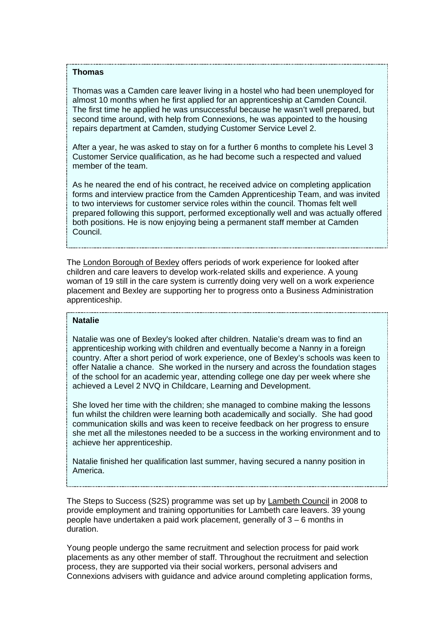#### **Thomas**

Thomas was a Camden care leaver living in a hostel who had been unemployed for almost 10 months when he first applied for an apprenticeship at Camden Council. The first time he applied he was unsuccessful because he wasn't well prepared, but second time around, with help from Connexions, he was appointed to the housing repairs department at Camden, studying Customer Service Level 2.

After a year, he was asked to stay on for a further 6 months to complete his Level 3 Customer Service qualification, as he had become such a respected and valued member of the team.

As he neared the end of his contract, he received advice on completing application forms and interview practice from the Camden Apprenticeship Team, and was invited to two interviews for customer service roles within the council. Thomas felt well prepared following this support, performed exceptionally well and was actually offered both positions. He is now enjoying being a permanent staff member at Camden Council.

The London Borough of Bexley offers periods of work experience for looked after children and care leavers to develop work-related skills and experience. A young woman of 19 still in the care system is currently doing very well on a work experience placement and Bexley are supporting her to progress onto a Business Administration apprenticeship.

## **Natalie**

Natalie was one of Bexley's looked after children. Natalie's dream was to find an apprenticeship working with children and eventually become a Nanny in a foreign country. After a short period of work experience, one of Bexley's schools was keen to offer Natalie a chance. She worked in the nursery and across the foundation stages of the school for an academic year, attending college one day per week where she achieved a Level 2 NVQ in Childcare, Learning and Development.

She loved her time with the children; she managed to combine making the lessons fun whilst the children were learning both academically and socially. She had good communication skills and was keen to receive feedback on her progress to ensure she met all the milestones needed to be a success in the working environment and to achieve her apprenticeship.

Natalie finished her qualification last summer, having secured a nanny position in America.

The Steps to Success (S2S) programme was set up by Lambeth Council in 2008 to provide employment and training opportunities for Lambeth care leavers. 39 young people have undertaken a paid work placement, generally of 3 – 6 months in duration.

Young people undergo the same recruitment and selection process for paid work placements as any other member of staff. Throughout the recruitment and selection process, they are supported via their social workers, personal advisers and Connexions advisers with guidance and advice around completing application forms,